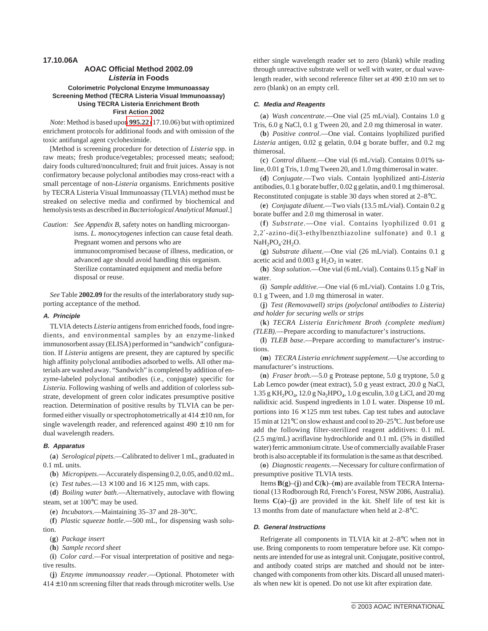**17.10.06A**

## **AOAC Official Method 2002.09 Listeria in Foods Colorimetric Polyclonal Enzyme Immunoassay Screening Method (TECRA Listeria Visual Immunoassay) Using TECRA Listeria Enrichment Broth First Action 2002**

*Note*: Method is based upon **995.22** (17.10.06) but with optimized enrichment protocols for additional foods and with omission of the toxic antifungal agent cycloheximide.

[Method is screening procedure for detection of *Listeria* spp. in raw meats; fresh produce/vegetables; processed meats; seafood; dairy foods cultured/noncultured; fruit and fruit juices. Assay is not confirmatory because polyclonal antibodies may cross-react with a small percentage of non-*Listeria* organisms. Enrichments positive by TECRA Listeria Visual Immunoassay (TLVIA) method must be streaked on selective media and confirmed by biochemical and hemolysis tests as described in*Bacteriological Analytical Manual*.]

*Caution: See Appendix B*, safety notes on handling microorganisms. *L. monocytogenes* infection can cause fetal death. Pregnant women and persons who are immunocompromised because of illness, medication, or advanced age should avoid handling this organism. Sterilize contaminated equipment and media before disposal or reuse.

*See* Table **2002.09** for the results of the interlaboratory study supporting acceptance of the method.

### **A. Principle**

TLVIA detects *Listeria* antigens from enriched foods, food ingredients, and environmental samples by an enzyme-linked immunosorbent assay (ELISA) performed in "sandwich" configuration. If *Listeria* antigens are present, they are captured by specific high affinity polyclonal antibodies adsorbed to wells. All other materials are washed away. "Sandwich" is completed by addition of enzyme-labeled polyclonal antibodies (i.e., conjugate) specific for *Listeria*. Following washing of wells and addition of colorless substrate, development of green color indicates presumptive positive reaction. Determination of positive results by TLVIA can be performed either visually or spectrophotometrically at  $414 \pm 10$  nm, for single wavelength reader, and referenced against  $490 \pm 10$  nm for dual wavelength readers.

### **B. Apparatus**

(**a**) *Serological pipets*.—Calibrated to deliver 1 mL, graduated in 0.1 mL units.

(**b**) *Micropipets*.—Accurately dispensing 0.2, 0.05, and 0.02 mL.

(c) *Test tubes*.—13  $\times$  100 and 16  $\times$  125 mm, with caps.

(**d**) *Boiling water bath*.—Alternatively, autoclave with flowing steam, set at 100°C may be used.

(**e**) *Incubators.*—Maintaining 35–37 and 28–30°C.

(**f**) *Plastic squeeze bottle*.—500 mL, for dispensing wash solution.

- (**g**) *Package insert*
- (**h**) *Sample record sheet*

(**i**) *Color card*.—For visual interpretation of positive and negative results.

(**j**) *Enzyme immunoassay reader*.—Optional. Photometer with  $414 \pm 10$  nm screening filter that reads through microtiter wells. Use

either single wavelength reader set to zero (blank) while reading through unreactive substrate well or well with water, or dual wavelength reader, with second reference filter set at  $490 \pm 10$  nm set to zero (blank) on an empty cell.

### **C. Media and Reagents**

(**a**) *Wash concentrate*.—One vial (25 mL/vial). Contains 1.0 g Tris, 6.0 g NaCl, 0.1 g Tween 20, and 2.0 mg thimerosal in water.

(**b**) *Positive control*.—One vial. Contains lyophilized purified *Listeria* antigen, 0.02 g gelatin, 0.04 g borate buffer, and 0.2 mg thimerosal.

(**c**) *Control diluent*.—One vial (6 mL/vial). Contains 0.01% saline, 0.01 g Tris, 1.0 mg Tween 20, and 1.0 mg thimerosal in water.

(**d**) *Conjugate*.—Two vials. Contain lyophilized anti-*Listeria* antibodies, 0.1 g borate buffer, 0.02 g gelatin, and 0.1 mg thimerosal. Reconstituted conjugate is stable 30 days when stored at 2–8°C.

(**e**) *Conjugate diluent*.—Two vials (13.5 mL/vial). Contain 0.2 g borate buffer and 2.0 mg thimerosal in water.

(**f**) *Substrate*.—One vial. Contains lyophilized 0.01 g 2,2′-azino-di(3-ethylbenzthiazoline sulfonate) and 0.1 g  $NaH<sub>2</sub>PO<sub>4</sub>·2H<sub>2</sub>O.$ 

(**g**) *Substrate diluent*.—One vial (26 mL/vial). Contains 0.1 g acetic acid and  $0.003$  g  $H_2O_2$  in water.

(**h**) *Stop solution*.—One vial (6 mL/vial). Contains 0.15 g NaF in water.

(**i**) *Sample additive.*—One vial (6 mL/vial). Contains 1.0 g Tris, 0.1 g Tween, and 1.0 mg thimerosal in water.

(**j**) *Test (Removawell) strips (polyclonal antibodies to Listeria) and holder for securing wells or strips*

(**k**) *TECRA Listeria Enrichment Broth (complete medium) (TLEB).*—Prepare according to manufacturer's instructions.

(**l**) *TLEB base*.—Prepare according to manufacturer's instructions.

(**m**) *TECRA Listeria enrichment supplement*.—Use according to manufacturer's instructions.

(**n**) *Fraser broth.*—5.0 g Protease peptone, 5.0 g tryptone, 5.0 g Lab Lemco powder (meat extract), 5.0 g yeast extract, 20.0 g NaCl, 1.35 g KH<sub>2</sub>PO<sub>4</sub>, 12.0 g Na<sub>2</sub>HPO<sub>4</sub>, 1.0 g esculin, 3.0 g LiCl, and 20 mg nalidixic acid. Suspend ingredients in 1.0 L water. Dispense 10 mL portions into  $16 \times 125$  mm test tubes. Cap test tubes and autoclave 15 min at 121°C on slow exhaust and cool to 20–25°C. Just before use add the following filter-sterilized reagent additives: 0.1 mL (2.5 mg/mL) acriflavine hydrochloride and 0.1 mL (5% in distilled water) ferric ammonium citrate. Use of commercially available Fraser broth is also acceptable if its formulation is the same as that described.

(**o**) *Diagnostic reagents.*—Necessary for culture confirmation of presumptive positive TLVIA tests.

Items  $B(g)$ –(**j**) and  $C(k)$ –(**m**) are available from TECRA International (13 Rodborough Rd, French's Forest, NSW 2086, Australia). Items  $C(a)$ –(**j**) are provided in the kit. Shelf life of test kit is 13 months from date of manufacture when held at 2–8°C.

#### **D. General Instructions**

Refrigerate all components in TLVIA kit at 2–8°C when not in use. Bring components to room temperature before use. Kit components are intended for use as integral unit. Conjugate, positive control, and antibody coated strips are matched and should not be interchanged with components from other kits. Discard all unused materials when new kit is opened. Do not use kit after expiration date.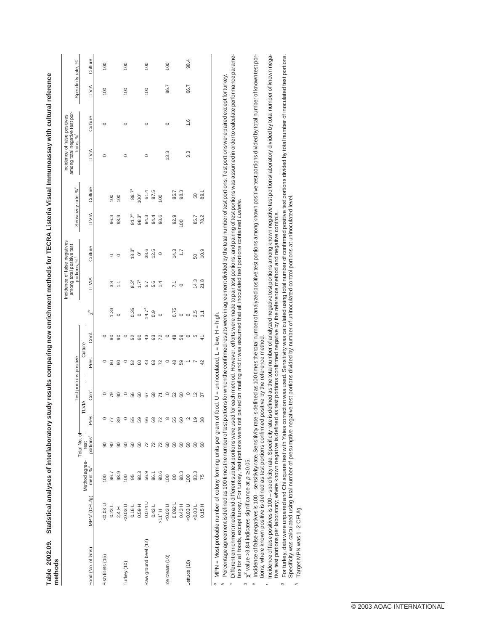| methods              |                          |                                       |                               |                   |                        | $\frac{1}{2}$   |                 |                           |                                                                                       |            |                |                        |                                                                            |         |                     |         |
|----------------------|--------------------------|---------------------------------------|-------------------------------|-------------------|------------------------|-----------------|-----------------|---------------------------|---------------------------------------------------------------------------------------|------------|----------------|------------------------|----------------------------------------------------------------------------|---------|---------------------|---------|
|                      |                          |                                       |                               |                   | Test portions positive |                 |                 |                           | Incidence of false negatives<br>among total positive test<br>portions, % <sup>®</sup> |            |                | Sensitivity rate, %"   | among total negative test por-<br>Incidence of false positives<br>tions, % |         | Specificity rate, % |         |
|                      |                          |                                       | Total No. of                  | F                 | <b>AINT</b>            | Culture         |                 |                           |                                                                                       |            |                |                        |                                                                            |         |                     |         |
| Food (No. of labs)   | MPN <sup>®</sup> (CFU/g) | Method agree-<br>ment, % <sup>b</sup> | test<br>portions <sup>c</sup> | Pres.             | Cont.                  | Pres.           | Cont.           | ${\rm v}^{2d}$            | TLVIA                                                                                 | Culture    | TLVIA          | Culture                | TLVIA                                                                      | Culture | TLVIA               | Culture |
| Fish fillets (15)    |                          | 100                                   | 8                             |                   |                        |                 | 0               |                           |                                                                                       |            |                |                        | $\circ$                                                                    | $\circ$ | 100                 | 100     |
|                      |                          |                                       | $\overline{90}$               |                   | ೭                      | 8               | 80              | 1.33                      | 3.8                                                                                   | 0          | 96.3           | $\overline{0}$         |                                                                            |         |                     |         |
|                      |                          |                                       |                               | 89                | 8                      | 8               | 8               | $\circ$                   | Ξ                                                                                     | $\circ$    | 98.9           | 100                    |                                                                            |         |                     |         |
| Turkey (10)          |                          |                                       | <b>90</b>                     | $\circ$           | $\circ$                | $\circ$         | $\circ$         |                           |                                                                                       |            |                |                        | 0                                                                          | 0       | 100                 | 100     |
|                      |                          |                                       | 60                            | 55                | 56                     | 52              | 52              |                           |                                                                                       | $13.3^9$   | $91.7^{\circ}$ |                        |                                                                            |         |                     |         |
|                      |                          |                                       |                               | 59                | 8                      | 80              | 60              | $0.35$<br>$0.47$<br>$0.9$ | $\frac{3^g}{1.7^g}$                                                                   | $\delta^g$ | $98.3^{\circ}$ | $\frac{86.7^9}{100^9}$ |                                                                            |         |                     |         |
| Raw ground beef (12) |                          |                                       |                               | 66                | 57                     | 43              | 43              |                           | 5.7                                                                                   | 38.6       | 94.3           |                        | $\circ$                                                                    | 0       | 100                 | 100     |
|                      |                          |                                       | 82228                         | 68                | 68                     | 63              | 63              |                           | 5.6                                                                                   | 12.5       | 94.4           | 61.4<br>87.5           |                                                                            |         |                     |         |
|                      |                          |                                       |                               | 72                | $\overline{r}$         | $\overline{72}$ | $\overline{72}$ | $\circ$                   | $\ddot{4}$                                                                            | $\circ$    | 98.6           | $\overline{100}$       |                                                                            |         |                     |         |
| Ice cream (10)       |                          |                                       |                               | $\infty$          | $\circ$                | $\circ$         | $\circ$         |                           |                                                                                       |            |                |                        | 13.3                                                                       | $\circ$ | 86.7                | 100     |
|                      |                          |                                       |                               | 55                | 52                     | 48              | $\frac{8}{3}$   | 0.75                      | $\overline{7.1}$                                                                      | 14.3       | 92.9           | 85.                    |                                                                            |         |                     |         |
|                      |                          |                                       | 888                           | 8                 | 8                      | 59              | 59              | $\circ$                   | $\circ$                                                                               | 1.7        | 100            | 98.3                   |                                                                            |         |                     |         |
| Lettuce (10)         |                          |                                       |                               | $\mathbf{\Omega}$ | $\circ$                |                 | $\circ$         | $\circ$                   |                                                                                       |            |                |                        | 3.3                                                                        | 1.6     | 66.7                | 98.4    |
|                      |                          |                                       | 60                            | ္ငာ               | ₽                      | r               | Ю               | 2.5                       | 14.3                                                                                  | 50         | $-35$          | 50                     |                                                                            |         |                     |         |
|                      |                          |                                       | 60                            | 38                | 57                     | 42              | $\frac{4}{3}$   | Ξ                         | 21.8                                                                                  | 10.9       | 78.2           | 89.1                   |                                                                            |         |                     |         |
|                      |                          |                                       |                               |                   |                        |                 |                 |                           |                                                                                       |            |                |                        |                                                                            |         |                     |         |

Statistical analyses of interlaboratory study results comparing new enrichment methods for TECRA Listeria Visual Immunoassay with cultural reference Table 2002.09. Statistical analyses of interlaboratory study results comparing new enrichment methods for TECRA Listeria Visual Immunoassay with cultural reference Table 2002.09.

a MPN = Most probable number of colony forming units per gram of food. U = uninoculated, L = low, H = high MPN = Most probable number of colony forming units per gram of food. U = uninoculated, L = low, H = high.

Different enrichment media and different subtest portions were used for each method. However, efforts were made to pair test portions, and pairing of test portions was assumed in order to calculate performance parame- Different enrichment media and different subtest portions were used for each method. However, efforts were made to pair test portions, and pairing of test portions was assumed in order to calculate performance parame-Percentage agreement is defined as 100 times the number of test portions for which the confirmed results were in agreement divided by the total number of test portions. Test portions were paired except for turkey. Percentage agreement is defined as 100 times the number of test portions for which the confirmed results were in agreement divided by the total number of test portions. Test portions were paired except for turkey. bc

ters for all foods, except turkey. For turkey, test portions were not paired on mailing and it was assumed that all inoculated test portions contained Listeria. ters for all foods, except turkey. For turkey, test portions were not paired on mailing and it was assumed that all inoculated test portions contained Listeria.

 $\chi^2$  value >3.84 indicates significance at  $\rho \ge 0.05$ .  $\alpha$   $\chi^2$  value >3.84 indicates significance at  $\rho \geq 0.05$ . d

f

Incidence of false negatives is 100 – sensitivity rate. Sensitivity rate is defined as 100 times the total number of analyzed positive test portions among known positive test portions divided by total number of known test Facidence of false negatives is 100 – sensitivity rate. Sensitivity rate is defined is defined as 100 times the total number of analyzed positive fest portions among known positive test portions divided by total number of tions; where known positive is defined as test portions confirmed positive by the reference method. tions; where known positive is defined as test portions confirmed positive by the reference method. e

Incidence of false positives is 100 - specificity rate. Specificity rate is defined as the total number of analyzed negative test portions among known negative test portions/laboratory divided by total number of known nega Incidence of false positives is 100 – specificity rate. Specificity rate is defined as the total number of analyzed negative test pons among known negative test portions/laboratory divided by total number of known negative test portions per laboratory; where known negative is defined as test portions confirmed negative by the reference method and negative controls. tive test portions per laboratory; where known negative is defined as test portions confirmed negative by the reference method and negative controls.

For turkey, data were unpaired and Chi square test with Yates correction was used. Sensitivy was calculated using total number of confirmed positive test portions divided by total number of inoculated test portions.<br>Specif  $^g$  For turkey, data were unpaired and Chi square test with Yates correction was used. Sensitivity was calculated using total number of confirmed positive test portions divided by total number of inoculated test portions Specificity was calculated using total number of presumptive negative test portions divided by number of uninoculated control portions at uninoculated level.  $\circ$ h

Target MPN was 1-2 CFU/g. Target MPN was 1–2 CFU/g.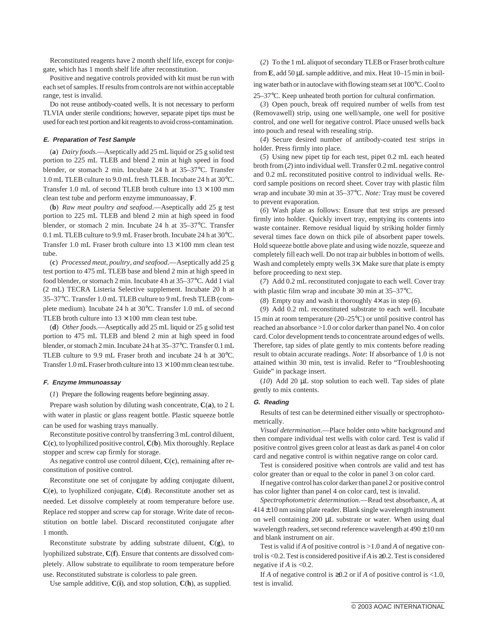Reconstituted reagents have 2 month shelf life, except for conjugate, which has 1 month shelf life after reconstitution.

Positive and negative controls provided with kit must be run with each set of samples. If results from controls are not within acceptable range, test is invalid.

Do not reuse antibody-coated wells. It is not necessary to perform TLVIA under sterile conditions; however, separate pipet tips must be used for each test portion and kit reagents to avoid cross-contamination.

### **E. Preparation of Test Sample**

(**a**) *Dairy foods.*—Aseptically add 25 mL liquid or 25 g solid test portion to 225 mL TLEB and blend 2 min at high speed in food blender, or stomach 2 min. Incubate 24 h at 35–37°C. Transfer 1.0 mL TLEB culture to 9.0 mL fresh TLEB. Incubate 24 h at 30°C. Transfer 1.0 mL of second TLEB broth culture into  $13 \times 100$  mm clean test tube and perform enzyme immunoassay, **F**.

(**b**) *Raw meat poultry and seafood*.—Aseptically add 25 g test portion to 225 mL TLEB and blend 2 min at high speed in food blender, or stomach 2 min. Incubate 24 h at 35–37°C. Transfer 0.1 mL TLEB culture to 9.9 mL Fraser broth. Incubate 24 h at 30°C. Transfer 1.0 mL Fraser broth culture into  $13 \times 100$  mm clean test tube.

(**c**) *Processed meat, poultry, and seafood*.—Aseptically add 25 g test portion to 475 mL TLEB base and blend 2 min at high speed in food blender, or stomach 2 min. Incubate 4 h at 35–37°C. Add 1 vial (2 mL) TECRA Listeria Selective supplement. Incubate 20 h at 35–37°C. Transfer 1.0 mL TLEB culture to 9 mL fresh TLEB (complete medium). Incubate 24 h at 30°C. Transfer 1.0 mL of second TLEB broth culture into  $13 \times 100$  mm clean test tube.

(**d**) *Other foods.*—Aseptically add 25 mL liquid or 25 g solid test portion to 475 mL TLEB and blend 2 min at high speed in food blender, or stomach 2 min. Incubate 24 h at 35–37°C. Transfer 0.1 mL TLEB culture to 9.9 mL Fraser broth and incubate 24 h at 30°C. Transfer 1.0 mL Fraser broth culture into  $13 \times 100$  mm clean test tube.

#### **F. Enzyme Immunoassay**

(*1*) Prepare the following reagents before beginning assay.

Prepare wash solution by diluting wash concentrate, **C**(**a**), to 2 L with water in plastic or glass reagent bottle. Plastic squeeze bottle can be used for washing trays manually.

Reconstitute positive control by transferring 3 mL control diluent, **C**(**c**), to lyophilized positive control, **C**(**b**). Mix thoroughly. Replace stopper and screw cap firmly for storage.

As negative control use control diluent, **C**(**c**), remaining after reconstitution of positive control.

Reconstitute one set of conjugate by adding conjugate diluent, **C**(**e**), to lyophilized conjugate, **C**(**d**). Reconstitute another set as needed. Let dissolve completely at room temperature before use. Replace red stopper and screw cap for storage. Write date of reconstitution on bottle label. Discard reconstituted conjugate after 1 month.

Reconstitute substrate by adding substrate diluent, **C**(**g**), to lyophilized substrate, **C**(**f**). Ensure that contents are dissolved completely. Allow substrate to equilibrate to room temperature before use. Reconstituted substrate is colorless to pale green.

Use sample additive, **C**(**i**), and stop solution, **C**(**h**), as supplied.

(*2*) To the 1 mL aliquot of secondary TLEB or Fraser broth culture from **E**, add 50 µL sample additive, and mix. Heat 10–15 min in boiling water bath or in autoclave with flowing steam set at 100°C. Cool to 25–37°C. Keep unheated broth portion for cultural confirmation.

(*3*) Open pouch, break off required number of wells from test (Removawell) strip, using one well/sample, one well for positive control, and one well for negative control. Place unused wells back into pouch and reseal with resealing strip.

(*4*) Secure desired number of antibody-coated test strips in holder. Press firmly into place.

(*5*) Using new pipet tip for each test, pipet 0.2 mL each heated broth from (*2*) into individual well. Transfer 0.2 mL negative control and 0.2 mL reconstituted positive control to individual wells. Record sample positions on record sheet. Cover tray with plastic film wrap and incubate 30 min at 35–37°C. *Note:* Tray must be covered to prevent evaporation.

(*6*) Wash plate as follows: Ensure that test strips are pressed firmly into holder. Quickly invert tray, emptying its contents into waste container. Remove residual liquid by striking holder firmly several times face down on thick pile of absorbent paper towels. Hold squeeze bottle above plate and using wide nozzle, squeeze and completely fill each well. Do not trap air bubbles in bottom of wells. Wash and completely empty wells  $3\times$ . Make sure that plate is empty before proceeding to next step.

(*7*) Add 0.2 mL reconstituted conjugate to each well. Cover tray with plastic film wrap and incubate 30 min at 35–37°C.

(*8*) Empty tray and wash it thoroughly 4× as in step (*6*).

(*9*) Add 0.2 mL reconstituted substrate to each well. Incubate 15 min at room temperature (20–25°C) or until positive control has reached an absorbance >1.0 or color darker than panel No. 4 on color card. Color development tends to concentrate around edges of wells. Therefore, tap sides of plate gently to mix contents before reading result to obtain accurate readings. *Note*: If absorbance of 1.0 is not attained within 30 min, test is invalid. Refer to "Troubleshooting Guide" in package insert.

(*10*) Add 20 µL stop solution to each well. Tap sides of plate gently to mix contents.

#### **G. Reading**

Results of test can be determined either visually or spectrophotometrically.

*Visual determination*.—Place holder onto white background and then compare individual test wells with color card. Test is valid if positive control gives green color at least as dark as panel 4 on color card and negative control is within negative range on color card.

Test is considered positive when controls are valid and test has color greater than or equal to the color in panel 3 on color card.

If negative control has color darker than panel 2 or positive control has color lighter than panel 4 on color card, test is invalid.

*Spectrophotometric determination*.—Read test absorbance, *A*, at  $414 \pm 10$  nm using plate reader. Blank single wavelength instrument on well containing 200 µL substrate or water. When using dual wavelength readers, set second reference wavelength at  $490 \pm 10$  nm and blank instrument on air.

Test is valid if *A* of positive control is >1.0 and *A* of negative control is <0.2. Test is considered positive if*A* is ≥0.2. Test is considered negative if *A* is <0.2.

If *A* of negative control is  $\geq 0.2$  or if *A* of positive control is <1.0, test is invalid.